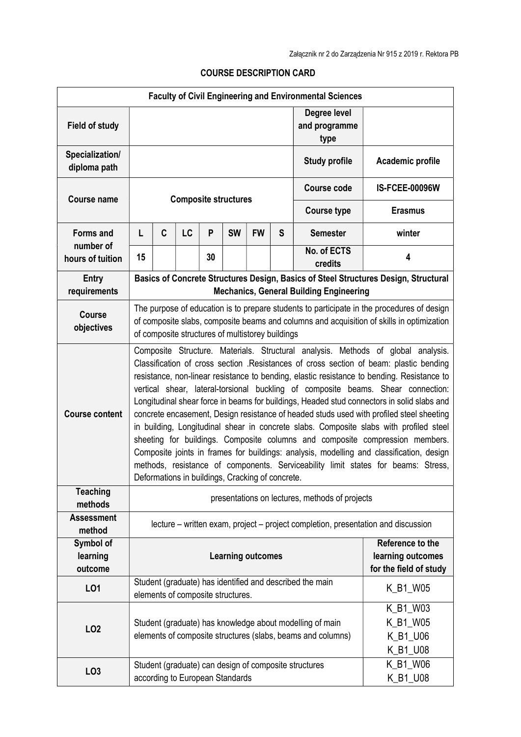| <b>Faculty of Civil Engineering and Environmental Sciences</b> |                                                                                                                                                                                                                                                                                                                                                                                                                                                                                                                                                                                                                                                                                                                                                                                                                                                                                                                                                                       |   |    |    |                                   |           |                                             |                                                                                                                         |                                              |
|----------------------------------------------------------------|-----------------------------------------------------------------------------------------------------------------------------------------------------------------------------------------------------------------------------------------------------------------------------------------------------------------------------------------------------------------------------------------------------------------------------------------------------------------------------------------------------------------------------------------------------------------------------------------------------------------------------------------------------------------------------------------------------------------------------------------------------------------------------------------------------------------------------------------------------------------------------------------------------------------------------------------------------------------------|---|----|----|-----------------------------------|-----------|---------------------------------------------|-------------------------------------------------------------------------------------------------------------------------|----------------------------------------------|
| <b>Field of study</b>                                          |                                                                                                                                                                                                                                                                                                                                                                                                                                                                                                                                                                                                                                                                                                                                                                                                                                                                                                                                                                       |   |    |    |                                   |           |                                             | Degree level<br>and programme<br>type                                                                                   |                                              |
| Specialization/<br>diploma path                                |                                                                                                                                                                                                                                                                                                                                                                                                                                                                                                                                                                                                                                                                                                                                                                                                                                                                                                                                                                       |   |    |    |                                   |           |                                             | <b>Study profile</b>                                                                                                    | Academic profile                             |
| <b>Course name</b>                                             | <b>Composite structures</b>                                                                                                                                                                                                                                                                                                                                                                                                                                                                                                                                                                                                                                                                                                                                                                                                                                                                                                                                           |   |    |    |                                   |           |                                             | <b>Course code</b>                                                                                                      | <b>IS-FCEE-00096W</b>                        |
|                                                                |                                                                                                                                                                                                                                                                                                                                                                                                                                                                                                                                                                                                                                                                                                                                                                                                                                                                                                                                                                       |   |    |    |                                   |           |                                             | <b>Course type</b>                                                                                                      | <b>Erasmus</b>                               |
| <b>Forms and</b><br>number of<br>hours of tuition              | Г                                                                                                                                                                                                                                                                                                                                                                                                                                                                                                                                                                                                                                                                                                                                                                                                                                                                                                                                                                     | C | LC | P  | <b>SW</b>                         | <b>FW</b> | S                                           | <b>Semester</b>                                                                                                         | winter                                       |
|                                                                | 15                                                                                                                                                                                                                                                                                                                                                                                                                                                                                                                                                                                                                                                                                                                                                                                                                                                                                                                                                                    |   |    | 30 |                                   |           |                                             | No. of ECTS<br>credits                                                                                                  | 4                                            |
| <b>Entry</b><br>requirements                                   | Basics of Concrete Structures Design, Basics of Steel Structures Design, Structural<br><b>Mechanics, General Building Engineering</b>                                                                                                                                                                                                                                                                                                                                                                                                                                                                                                                                                                                                                                                                                                                                                                                                                                 |   |    |    |                                   |           |                                             |                                                                                                                         |                                              |
| <b>Course</b><br>objectives                                    | The purpose of education is to prepare students to participate in the procedures of design<br>of composite slabs, composite beams and columns and acquisition of skills in optimization<br>of composite structures of multistorey buildings                                                                                                                                                                                                                                                                                                                                                                                                                                                                                                                                                                                                                                                                                                                           |   |    |    |                                   |           |                                             |                                                                                                                         |                                              |
| <b>Course content</b>                                          | Composite Structure. Materials. Structural analysis. Methods of global analysis.<br>Classification of cross section .Resistances of cross section of beam: plastic bending<br>resistance, non-linear resistance to bending, elastic resistance to bending. Resistance to<br>vertical shear, lateral-torsional buckling of composite beams. Shear connection:<br>Longitudinal shear force in beams for buildings, Headed stud connectors in solid slabs and<br>concrete encasement, Design resistance of headed studs used with profiled steel sheeting<br>in building, Longitudinal shear in concrete slabs. Composite slabs with profiled steel<br>sheeting for buildings. Composite columns and composite compression members.<br>Composite joints in frames for buildings: analysis, modelling and classification, design<br>methods, resistance of components. Serviceability limit states for beams: Stress,<br>Deformations in buildings, Cracking of concrete. |   |    |    |                                   |           |                                             |                                                                                                                         |                                              |
| <b>Teaching</b><br>methods                                     | presentations on lectures, methods of projects                                                                                                                                                                                                                                                                                                                                                                                                                                                                                                                                                                                                                                                                                                                                                                                                                                                                                                                        |   |    |    |                                   |           |                                             |                                                                                                                         |                                              |
| <b>Assessment</b><br>method                                    | lecture – written exam, project – project completion, presentation and discussion                                                                                                                                                                                                                                                                                                                                                                                                                                                                                                                                                                                                                                                                                                                                                                                                                                                                                     |   |    |    |                                   |           |                                             |                                                                                                                         |                                              |
| Symbol of<br>learning<br>outcome                               | Reference to the<br><b>Learning outcomes</b>                                                                                                                                                                                                                                                                                                                                                                                                                                                                                                                                                                                                                                                                                                                                                                                                                                                                                                                          |   |    |    |                                   |           | learning outcomes<br>for the field of study |                                                                                                                         |                                              |
| L <sub>01</sub>                                                |                                                                                                                                                                                                                                                                                                                                                                                                                                                                                                                                                                                                                                                                                                                                                                                                                                                                                                                                                                       |   |    |    | elements of composite structures. |           |                                             | Student (graduate) has identified and described the main                                                                | K_B1_W05                                     |
| LO <sub>2</sub>                                                |                                                                                                                                                                                                                                                                                                                                                                                                                                                                                                                                                                                                                                                                                                                                                                                                                                                                                                                                                                       |   |    |    |                                   |           |                                             | Student (graduate) has knowledge about modelling of main<br>elements of composite structures (slabs, beams and columns) | K_B1_W03<br>K_B1_W05<br>K_B1_U06<br>K_B1_U08 |
| LO <sub>3</sub>                                                |                                                                                                                                                                                                                                                                                                                                                                                                                                                                                                                                                                                                                                                                                                                                                                                                                                                                                                                                                                       |   |    |    | according to European Standards   |           |                                             | Student (graduate) can design of composite structures                                                                   | K_B1_W06<br>K_B1_U08                         |

## COURSE DESCRIPTION CARD